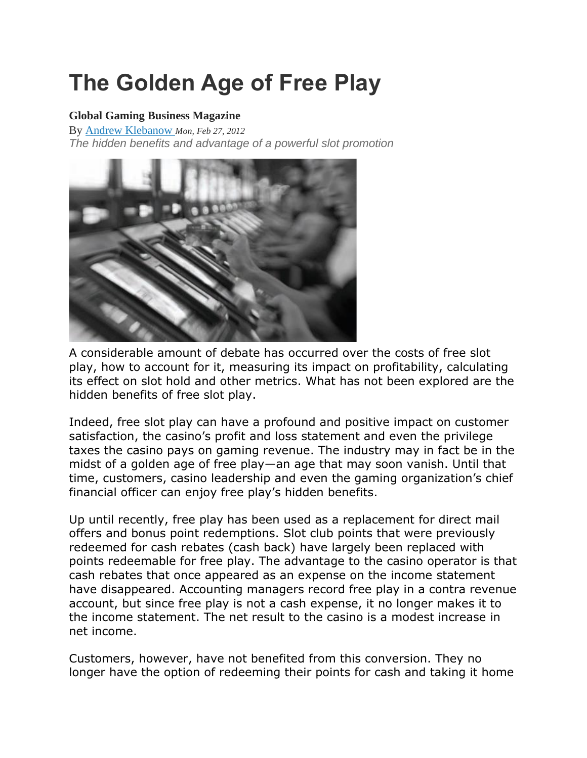# **The Golden Age of Free Play**

#### **Global Gaming Business Magazine**

By [Andrew Klebanow](https://ggbmagazine.com/author/klebanow_andrew/) *Mon, Feb 27, 2012 The hidden benefits and advantage of a powerful slot promotion* 



A considerable amount of debate has occurred over the costs of free slot play, how to account for it, measuring its impact on profitability, calculating its effect on slot hold and other metrics. What has not been explored are the hidden benefits of free slot play.

Indeed, free slot play can have a profound and positive impact on customer satisfaction, the casino's profit and loss statement and even the privilege taxes the casino pays on gaming revenue. The industry may in fact be in the midst of a golden age of free play—an age that may soon vanish. Until that time, customers, casino leadership and even the gaming organization's chief financial officer can enjoy free play's hidden benefits.

Up until recently, free play has been used as a replacement for direct mail offers and bonus point redemptions. Slot club points that were previously redeemed for cash rebates (cash back) have largely been replaced with points redeemable for free play. The advantage to the casino operator is that cash rebates that once appeared as an expense on the income statement have disappeared. Accounting managers record free play in a contra revenue account, but since free play is not a cash expense, it no longer makes it to the income statement. The net result to the casino is a modest increase in net income.

Customers, however, have not benefited from this conversion. They no longer have the option of redeeming their points for cash and taking it home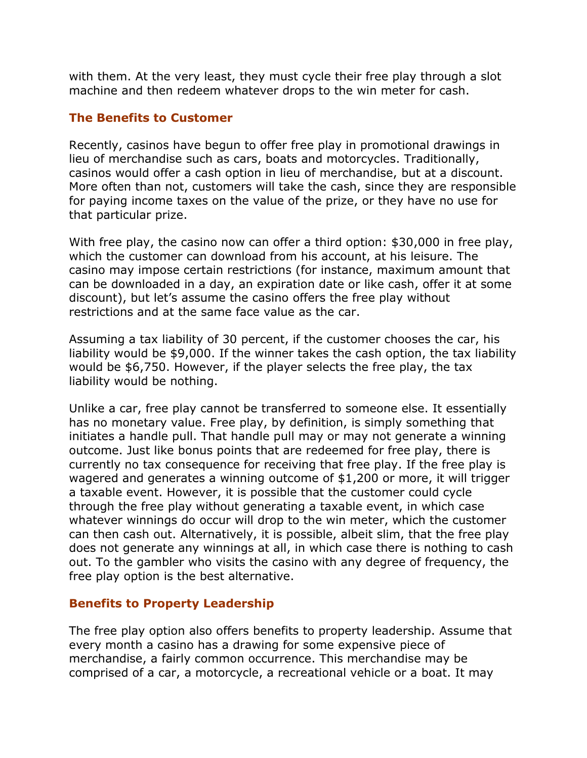with them. At the very least, they must cycle their free play through a slot machine and then redeem whatever drops to the win meter for cash.

#### **The Benefits to Customer**

Recently, casinos have begun to offer free play in promotional drawings in lieu of merchandise such as cars, boats and motorcycles. Traditionally, casinos would offer a cash option in lieu of merchandise, but at a discount. More often than not, customers will take the cash, since they are responsible for paying income taxes on the value of the prize, or they have no use for that particular prize.

With free play, the casino now can offer a third option: \$30,000 in free play, which the customer can download from his account, at his leisure. The casino may impose certain restrictions (for instance, maximum amount that can be downloaded in a day, an expiration date or like cash, offer it at some discount), but let's assume the casino offers the free play without restrictions and at the same face value as the car.

Assuming a tax liability of 30 percent, if the customer chooses the car, his liability would be \$9,000. If the winner takes the cash option, the tax liability would be \$6,750. However, if the player selects the free play, the tax liability would be nothing.

Unlike a car, free play cannot be transferred to someone else. It essentially has no monetary value. Free play, by definition, is simply something that initiates a handle pull. That handle pull may or may not generate a winning outcome. Just like bonus points that are redeemed for free play, there is currently no tax consequence for receiving that free play. If the free play is wagered and generates a winning outcome of \$1,200 or more, it will trigger a taxable event. However, it is possible that the customer could cycle through the free play without generating a taxable event, in which case whatever winnings do occur will drop to the win meter, which the customer can then cash out. Alternatively, it is possible, albeit slim, that the free play does not generate any winnings at all, in which case there is nothing to cash out. To the gambler who visits the casino with any degree of frequency, the free play option is the best alternative.

## **Benefits to Property Leadership**

The free play option also offers benefits to property leadership. Assume that every month a casino has a drawing for some expensive piece of merchandise, a fairly common occurrence. This merchandise may be comprised of a car, a motorcycle, a recreational vehicle or a boat. It may